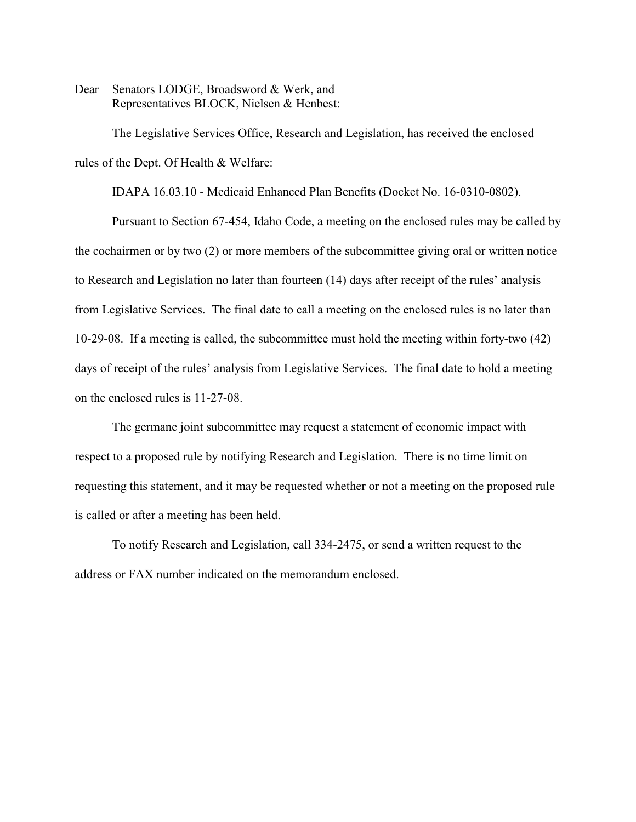Dear Senators LODGE, Broadsword & Werk, and Representatives BLOCK, Nielsen & Henbest:

The Legislative Services Office, Research and Legislation, has received the enclosed rules of the Dept. Of Health & Welfare:

IDAPA 16.03.10 - Medicaid Enhanced Plan Benefits (Docket No. 16-0310-0802).

Pursuant to Section 67-454, Idaho Code, a meeting on the enclosed rules may be called by the cochairmen or by two (2) or more members of the subcommittee giving oral or written notice to Research and Legislation no later than fourteen (14) days after receipt of the rules' analysis from Legislative Services. The final date to call a meeting on the enclosed rules is no later than 10-29-08. If a meeting is called, the subcommittee must hold the meeting within forty-two (42) days of receipt of the rules' analysis from Legislative Services. The final date to hold a meeting on the enclosed rules is 11-27-08.

The germane joint subcommittee may request a statement of economic impact with respect to a proposed rule by notifying Research and Legislation. There is no time limit on requesting this statement, and it may be requested whether or not a meeting on the proposed rule is called or after a meeting has been held.

To notify Research and Legislation, call 334-2475, or send a written request to the address or FAX number indicated on the memorandum enclosed.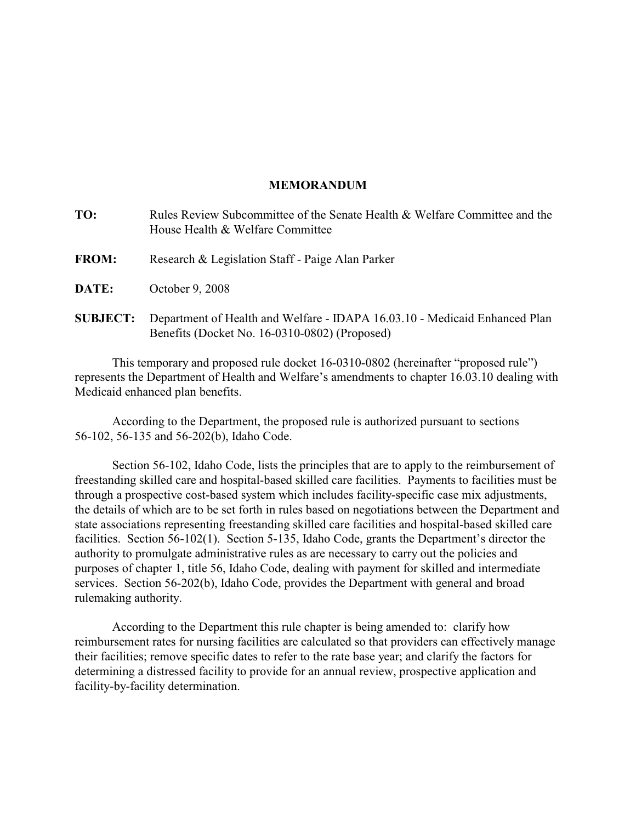# **MEMORANDUM**

| TO:             | Rules Review Subcommittee of the Senate Health & Welfare Committee and the<br>House Health & Welfare Committee              |
|-----------------|-----------------------------------------------------------------------------------------------------------------------------|
| <b>FROM:</b>    | Research & Legislation Staff - Paige Alan Parker                                                                            |
| <b>DATE:</b>    | October 9, 2008                                                                                                             |
| <b>SUBJECT:</b> | Department of Health and Welfare - IDAPA 16.03.10 - Medicaid Enhanced Plan<br>Benefits (Docket No. 16-0310-0802) (Proposed) |

This temporary and proposed rule docket 16-0310-0802 (hereinafter "proposed rule") represents the Department of Health and Welfare's amendments to chapter 16.03.10 dealing with Medicaid enhanced plan benefits.

According to the Department, the proposed rule is authorized pursuant to sections 56-102, 56-135 and 56-202(b), Idaho Code.

Section 56-102, Idaho Code, lists the principles that are to apply to the reimbursement of freestanding skilled care and hospital-based skilled care facilities. Payments to facilities must be through a prospective cost-based system which includes facility-specific case mix adjustments, the details of which are to be set forth in rules based on negotiations between the Department and state associations representing freestanding skilled care facilities and hospital-based skilled care facilities. Section 56-102(1). Section 5-135, Idaho Code, grants the Department's director the authority to promulgate administrative rules as are necessary to carry out the policies and purposes of chapter 1, title 56, Idaho Code, dealing with payment for skilled and intermediate services. Section 56-202(b), Idaho Code, provides the Department with general and broad rulemaking authority.

According to the Department this rule chapter is being amended to: clarify how reimbursement rates for nursing facilities are calculated so that providers can effectively manage their facilities; remove specific dates to refer to the rate base year; and clarify the factors for determining a distressed facility to provide for an annual review, prospective application and facility-by-facility determination.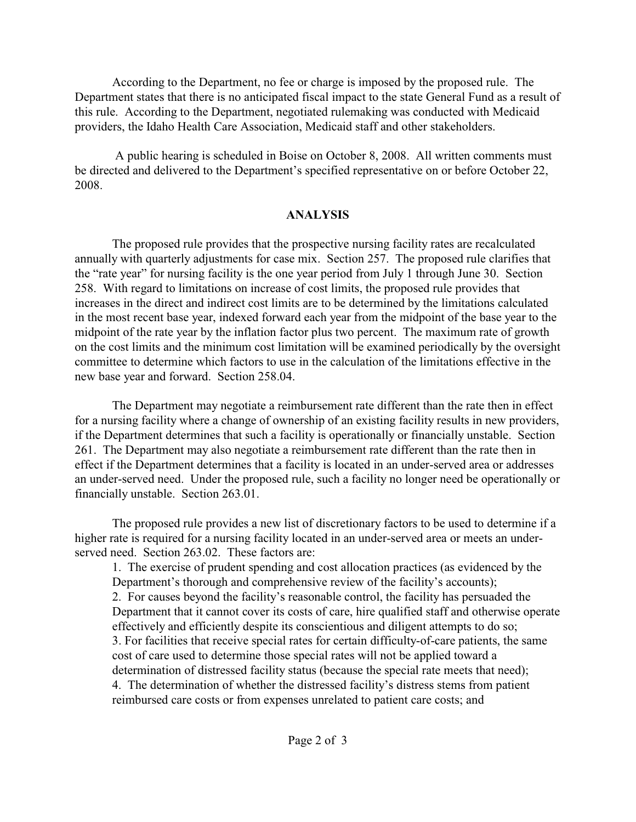According to the Department, no fee or charge is imposed by the proposed rule. The Department states that there is no anticipated fiscal impact to the state General Fund as a result of this rule. According to the Department, negotiated rulemaking was conducted with Medicaid providers, the Idaho Health Care Association, Medicaid staff and other stakeholders.

 A public hearing is scheduled in Boise on October 8, 2008. All written comments must be directed and delivered to the Department's specified representative on or before October 22, 2008.

# **ANALYSIS**

The proposed rule provides that the prospective nursing facility rates are recalculated annually with quarterly adjustments for case mix. Section 257. The proposed rule clarifies that the "rate year" for nursing facility is the one year period from July 1 through June 30. Section 258. With regard to limitations on increase of cost limits, the proposed rule provides that increases in the direct and indirect cost limits are to be determined by the limitations calculated in the most recent base year, indexed forward each year from the midpoint of the base year to the midpoint of the rate year by the inflation factor plus two percent. The maximum rate of growth on the cost limits and the minimum cost limitation will be examined periodically by the oversight committee to determine which factors to use in the calculation of the limitations effective in the new base year and forward. Section 258.04.

The Department may negotiate a reimbursement rate different than the rate then in effect for a nursing facility where a change of ownership of an existing facility results in new providers, if the Department determines that such a facility is operationally or financially unstable. Section 261. The Department may also negotiate a reimbursement rate different than the rate then in effect if the Department determines that a facility is located in an under-served area or addresses an under-served need. Under the proposed rule, such a facility no longer need be operationally or financially unstable. Section 263.01.

The proposed rule provides a new list of discretionary factors to be used to determine if a higher rate is required for a nursing facility located in an under-served area or meets an underserved need. Section 263.02. These factors are:

1. The exercise of prudent spending and cost allocation practices (as evidenced by the Department's thorough and comprehensive review of the facility's accounts); 2. For causes beyond the facility's reasonable control, the facility has persuaded the Department that it cannot cover its costs of care, hire qualified staff and otherwise operate effectively and efficiently despite its conscientious and diligent attempts to do so; 3. For facilities that receive special rates for certain difficulty-of-care patients, the same cost of care used to determine those special rates will not be applied toward a determination of distressed facility status (because the special rate meets that need); 4. The determination of whether the distressed facility's distress stems from patient reimbursed care costs or from expenses unrelated to patient care costs; and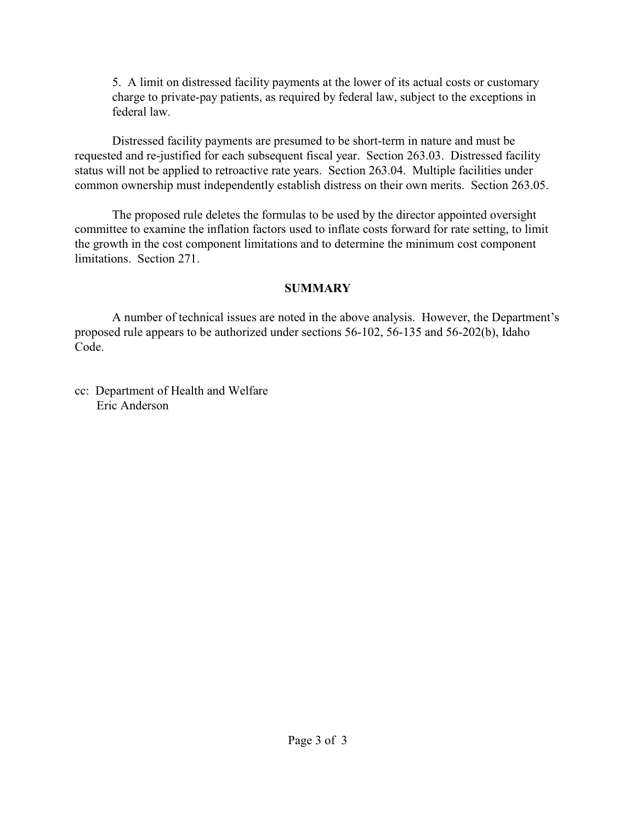5. A limit on distressed facility payments at the lower of its actual costs or customary charge to private-pay patients, as required by federal law, subject to the exceptions in federal law.

Distressed facility payments are presumed to be short-term in nature and must be requested and re-justified for each subsequent fiscal year. Section 263.03. Distressed facility status will not be applied to retroactive rate years. Section 263.04. Multiple facilities under common ownership must independently establish distress on their own merits. Section 263.05.

The proposed rule deletes the formulas to be used by the director appointed oversight committee to examine the inflation factors used to inflate costs forward for rate setting, to limit the growth in the cost component limitations and to determine the minimum cost component limitations. Section 271.

# **SUMMARY**

A number of technical issues are noted in the above analysis. However, the Department's proposed rule appears to be authorized under sections 56-102, 56-135 and 56-202(b), Idaho Code.

cc: Department of Health and Welfare Eric Anderson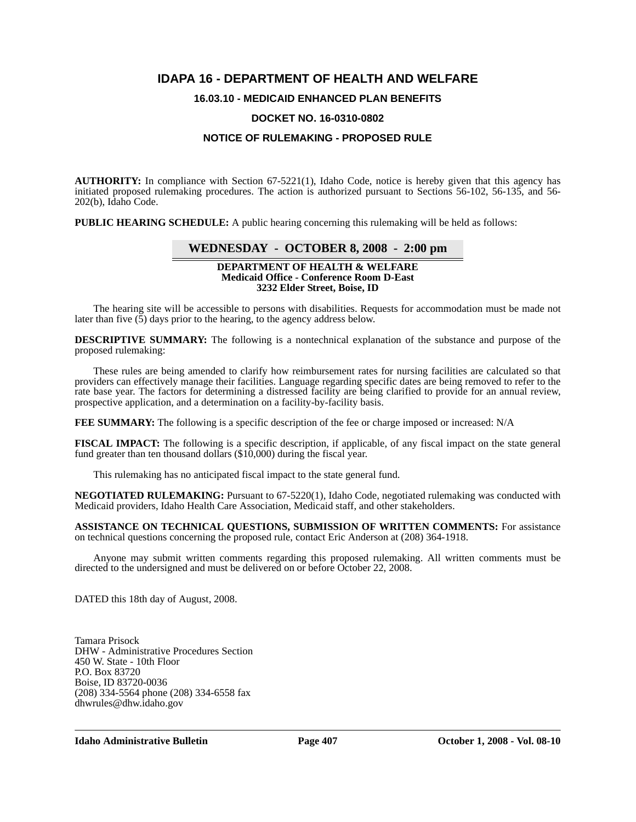# **IDAPA 16 - DEPARTMENT OF HEALTH AND WELFARE**

# **16.03.10 - MEDICAID ENHANCED PLAN BENEFITS**

#### **DOCKET NO. 16-0310-0802**

# **NOTICE OF RULEMAKING - PROPOSED RULE**

**AUTHORITY:** In compliance with Section 67-5221(1), Idaho Code, notice is hereby given that this agency has initiated proposed rulemaking procedures. The action is authorized pursuant to Sections 56-102, 56-135, and 56- 202(b), Idaho Code.

**PUBLIC HEARING SCHEDULE:** A public hearing concerning this rulemaking will be held as follows:

# **WEDNESDAY - OCTOBER 8, 2008 - 2:00 pm**

#### **DEPARTMENT OF HEALTH & WELFARE Medicaid Office - Conference Room D-East 3232 Elder Street, Boise, ID**

The hearing site will be accessible to persons with disabilities. Requests for accommodation must be made not later than five  $(5)$  days prior to the hearing, to the agency address below.

**DESCRIPTIVE SUMMARY:** The following is a nontechnical explanation of the substance and purpose of the proposed rulemaking:

These rules are being amended to clarify how reimbursement rates for nursing facilities are calculated so that providers can effectively manage their facilities. Language regarding specific dates are being removed to refer to the rate base year. The factors for determining a distressed facility are being clarified to provide for an annual review, prospective application, and a determination on a facility-by-facility basis.

**FEE SUMMARY:** The following is a specific description of the fee or charge imposed or increased: N/A

**FISCAL IMPACT:** The following is a specific description, if applicable, of any fiscal impact on the state general fund greater than ten thousand dollars (\$10,000) during the fiscal year.

This rulemaking has no anticipated fiscal impact to the state general fund.

**NEGOTIATED RULEMAKING:** Pursuant to 67-5220(1), Idaho Code, negotiated rulemaking was conducted with Medicaid providers, Idaho Health Care Association, Medicaid staff, and other stakeholders.

**ASSISTANCE ON TECHNICAL QUESTIONS, SUBMISSION OF WRITTEN COMMENTS:** For assistance on technical questions concerning the proposed rule, contact Eric Anderson at (208) 364-1918.

Anyone may submit written comments regarding this proposed rulemaking. All written comments must be directed to the undersigned and must be delivered on or before October 22, 2008.

DATED this 18th day of August, 2008.

Tamara Prisock DHW - Administrative Procedures Section 450 W. State - 10th Floor P.O. Box 83720 Boise, ID 83720-0036 (208) 334-5564 phone (208) 334-6558 fax <dhwrules@dhw.idaho.gov>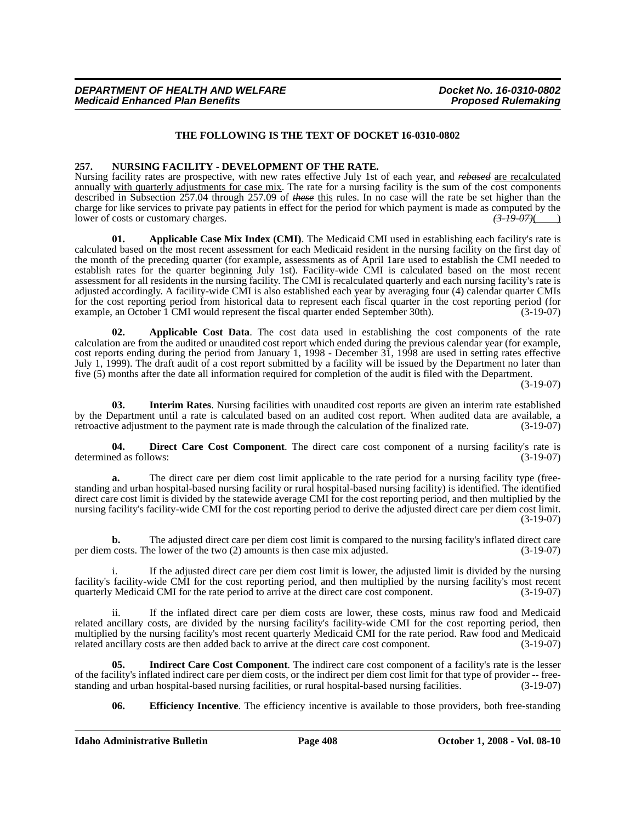# **THE FOLLOWING IS THE TEXT OF DOCKET 16-0310-0802**

## **257. NURSING FACILITY - DEVELOPMENT OF THE RATE.**

Nursing facility rates are prospective, with new rates effective July 1st of each year, and *rebased* are recalculated annually with quarterly adjustments for case mix. The rate for a nursing facility is the sum of the cost components described in Subsection 257.04 through 257.09 of *these* this rules. In no case will the rate be set higher than the charge for like services to private pay patients in effect for the period for which payment is made as computed by the lower of costs or customary charges. lower of costs or customary charges.

**01. Applicable Case Mix Index (CMI)**. The Medicaid CMI used in establishing each facility's rate is calculated based on the most recent assessment for each Medicaid resident in the nursing facility on the first day of the month of the preceding quarter (for example, assessments as of April 1are used to establish the CMI needed to establish rates for the quarter beginning July 1st). Facility-wide CMI is calculated based on the most recent assessment for all residents in the nursing facility. The CMI is recalculated quarterly and each nursing facility's rate is adjusted accordingly. A facility-wide CMI is also established each year by averaging four (4) calendar quarter CMIs for the cost reporting period from historical data to represent each fiscal quarter in the cost reporting period (for example, an October 1 CMI would represent the fiscal quarter ended September 30th). (3-19-07)

**02. Applicable Cost Data**. The cost data used in establishing the cost components of the rate calculation are from the audited or unaudited cost report which ended during the previous calendar year (for example, cost reports ending during the period from January 1, 1998 - December 31, 1998 are used in setting rates effective July 1, 1999). The draft audit of a cost report submitted by a facility will be issued by the Department no later than five (5) months after the date all information required for completion of the audit is filed with the Department.

(3-19-07)

**03. Interim Rates**. Nursing facilities with unaudited cost reports are given an interim rate established by the Department until a rate is calculated based on an audited cost report. When audited data are available, a retroactive adjustment to the payment rate is made through the calculation of the finalized rate. (3-19-07)

**04. Direct Care Cost Component**. The direct care cost component of a nursing facility's rate is determined as follows: (3-19-07)

**a.** The direct care per diem cost limit applicable to the rate period for a nursing facility type (freestanding and urban hospital-based nursing facility or rural hospital-based nursing facility) is identified. The identified direct care cost limit is divided by the statewide average CMI for the cost reporting period, and then multiplied by the nursing facility's facility-wide CMI for the cost reporting period to derive the adjusted direct care per diem cost limit. (3-19-07)

**b.** The adjusted direct care per diem cost limit is compared to the nursing facility's inflated direct care per diem costs. The lower of the two (2) amounts is then case mix adjusted. (3-19-07)

i. If the adjusted direct care per diem cost limit is lower, the adjusted limit is divided by the nursing facility's facility-wide CMI for the cost reporting period, and then multiplied by the nursing facility's most recent quarterly Medicaid CMI for the rate period to arrive at the direct care cost component.

ii. If the inflated direct care per diem costs are lower, these costs, minus raw food and Medicaid related ancillary costs, are divided by the nursing facility's facility-wide CMI for the cost reporting period, then multiplied by the nursing facility's most recent quarterly Medicaid CMI for the rate period. Raw food and Medicaid related ancillary costs are then added back to arrive at the direct care cost component. (3-19-07)

**05. Indirect Care Cost Component**. The indirect care cost component of a facility's rate is the lesser of the facility's inflated indirect care per diem costs, or the indirect per diem cost limit for that type of provider -- free-<br>standing and urban hospital-based nursing facilities, or rural hospital-based nursing faciliti standing and urban hospital-based nursing facilities, or rural hospital-based nursing facilities.

**06.** Efficiency Incentive. The efficiency incentive is available to those providers, both free-standing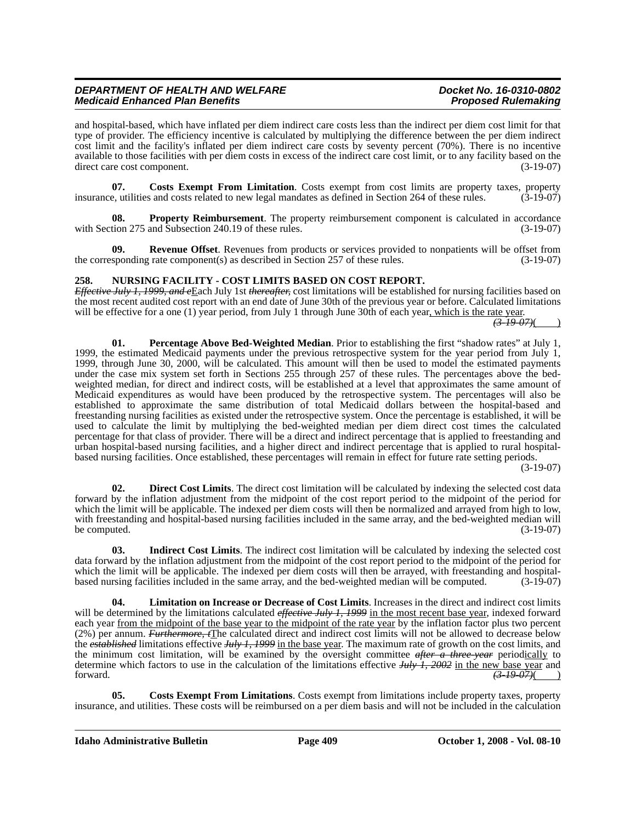# *DEPARTMENT OF HEALTH AND WELFARE Docket No. 16-0310-0802 Medicaid Enhanced Plan Benefits*

and hospital-based, which have inflated per diem indirect care costs less than the indirect per diem cost limit for that type of provider. The efficiency incentive is calculated by multiplying the difference between the per diem indirect cost limit and the facility's inflated per diem indirect care costs by seventy percent (70%). There is no incentive available to those facilities with per diem costs in excess of the indirect care cost limit, or to any facility based on the direct care cost component. (3-19-07)

**07.** Costs Exempt From Limitation. Costs exempt from cost limits are property taxes, property e. utilities and costs related to new legal mandates as defined in Section 264 of these rules. (3-19-07) insurance, utilities and costs related to new legal mandates as defined in Section 264 of these rules.

**Property Reimbursement**. The property reimbursement component is calculated in accordance with Section 275 and Subsection 240.19 of these rules. (3-19-07)

**09. Revenue Offset**. Revenues from products or services provided to nonpatients will be offset from the corresponding rate component(s) as described in Section 257 of these rules. (3-19-07)

## **258. NURSING FACILITY - COST LIMITS BASED ON COST REPORT.**

*Effective July 1, 1999, and e*Each July 1st *thereafter,* cost limitations will be established for nursing facilities based on the most recent audited cost report with an end date of June 30th of the previous year or before. Calculated limitations will be effective for a one (1) year period, from July 1 through June 30th of each year, which is the rate year.<br>  $\frac{(3+19-07)}{(3-19-07)}$ 

**01. Percentage Above Bed-Weighted Median**. Prior to establishing the first "shadow rates" at July 1, 1999, the estimated Medicaid payments under the previous retrospective system for the year period from July 1, 1999, through June 30, 2000, will be calculated. This amount will then be used to model the estimated payments under the case mix system set forth in Sections 255 through 257 of these rules. The percentages above the bedweighted median, for direct and indirect costs, will be established at a level that approximates the same amount of Medicaid expenditures as would have been produced by the retrospective system. The percentages will also be established to approximate the same distribution of total Medicaid dollars between the hospital-based and freestanding nursing facilities as existed under the retrospective system. Once the percentage is established, it will be used to calculate the limit by multiplying the bed-weighted median per diem direct cost times the calculated percentage for that class of provider. There will be a direct and indirect percentage that is applied to freestanding and urban hospital-based nursing facilities, and a higher direct and indirect percentage that is applied to rural hospitalbased nursing facilities. Once established, these percentages will remain in effect for future rate setting periods.

(3-19-07)

**02. Direct Cost Limits**. The direct cost limitation will be calculated by indexing the selected cost data forward by the inflation adjustment from the midpoint of the cost report period to the midpoint of the period for which the limit will be applicable. The indexed per diem costs will then be normalized and arrayed from high to low, with freestanding and hospital-based nursing facilities included in the same array, and the bed-weighted median will<br>(3-19-07) (3-19-07) be computed.

**03. Indirect Cost Limits**. The indirect cost limitation will be calculated by indexing the selected cost data forward by the inflation adjustment from the midpoint of the cost report period to the midpoint of the period for which the limit will be applicable. The indexed per diem costs will then be arrayed, with freestanding and hospitalbased nursing facilities included in the same array, and the bed-weighted median will be computed. (3-19-07)

**04. Limitation on Increase or Decrease of Cost Limits**. Increases in the direct and indirect cost limits will be determined by the limitations calculated *effective July 1, 1999* in the most recent base year, indexed forward each year from the midpoint of the base year to the midpoint of the rate year by the inflation factor plus two percent (2%) per annum. *Furthermore, t*The calculated direct and indirect cost limits will not be allowed to decrease below the *established* limitations effective *July 1, 1999* in the base year. The maximum rate of growth on the cost limits, and the minimum cost limitation, will be examined by the oversight committee *after a three-year* periodically to determine which factors to use in the calculation of the limitations effective *July 1, 2002* in the new base year and forward.  $\left(3-19-07\right)$ 

**05. Costs Exempt From Limitations**. Costs exempt from limitations include property taxes, property insurance, and utilities. These costs will be reimbursed on a per diem basis and will not be included in the calculation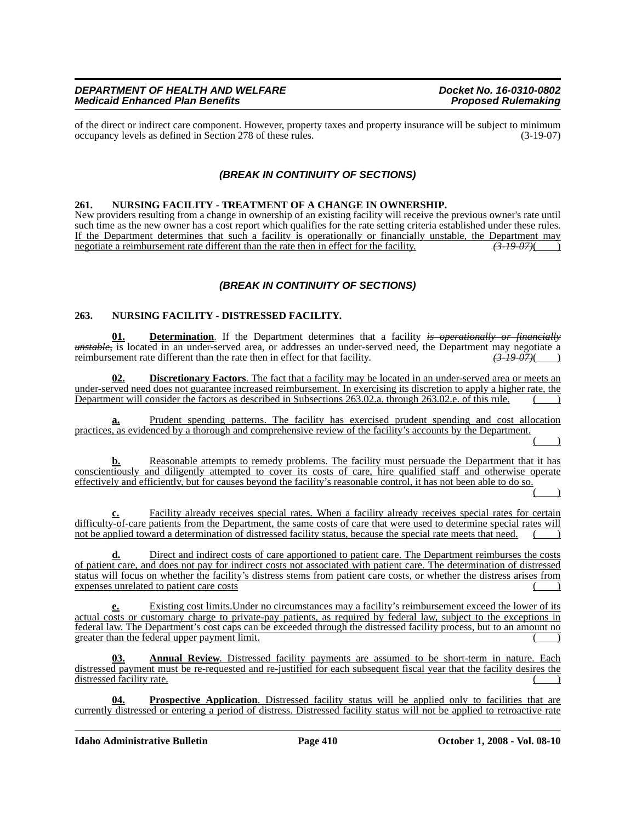## *DEPARTMENT OF HEALTH AND WELFARE Docket No. 16-0310-0802 Medicaid Enhanced Plan Benefits*

of the direct or indirect care component. However, property taxes and property insurance will be subject to minimum<br>occupancy levels as defined in Section 278 of these rules. (3-19-07) occupancy levels as defined in Section 278 of these rules.

# *(BREAK IN CONTINUITY OF SECTIONS)*

#### **261. NURSING FACILITY - TREATMENT OF A CHANGE IN OWNERSHIP.**

New providers resulting from a change in ownership of an existing facility will receive the previous owner's rate until such time as the new owner has a cost report which qualifies for the rate setting criteria established under these rules. If the Department determines that such a facility is operationally or financially unstable, the Department may negotiate a reimbursement rate different than the rate then in effect for the facility.  $\left(3-19-07\right)$ negotiate a reimbursement rate different than the rate then in effect for the facility.

# *(BREAK IN CONTINUITY OF SECTIONS)*

## **263. NURSING FACILITY - DISTRESSED FACILITY.**

**01. Determination**. If the Department determines that a facility *is operationally or financially unstable*, is located in an under-served area, or addresses an under-served need, the Department may negotiate a reimbursement rate different than the rate then in effect for that facility.  $\left(3-19-07\right)$ reimbursement rate different than the rate then in effect for that facility.  $\left(3\text{-}19\text{-}07\right)\left(2\text{-}19\text{-}07\right)$ 

**02. Discretionary Factors**. The fact that a facility may be located in an under-served area or meets an under-served need does not guarantee increased reimbursement. In exercising its discretion to apply a higher rate, the Department will consider the factors as described in Subsections 263.02.a. through 263.02.e. of this rule.

Prudent spending patterns. The facility has exercised prudent spending and cost allocation practices, as evidenced by a thorough and comprehensive review of the facility's accounts by the Department.

**b.** Reasonable attempts to remedy problems. The facility must persuade the Department that it has conscientiously and diligently attempted to cover its costs of care, hire qualified staff and otherwise operate effectively and efficiently, but for causes beyond the facility's reasonable control, it has not been able to do so.

 $($  )

( )

**c.** Facility already receives special rates. When a facility already receives special rates for certain difficulty-of-care patients from the Department, the same costs of care that were used to determine special rates will not be applied toward a determination of distressed facility status, because the special rate meets that need.

**d.** Direct and indirect costs of care apportioned to patient care. The Department reimburses the costs of patient care, and does not pay for indirect costs not associated with patient care. The determination of distressed status will focus on whether the facility's distress stems from patient care costs, or whether the distress arises from expenses unrelated to patient care costs ( )

**e.** Existing cost limits.Under no circumstances may a facility's reimbursement exceed the lower of its actual costs or customary charge to private-pay patients, as required by federal law, subject to the exceptions in federal law. The Department's cost caps can be exceeded through the distressed facility process, but to an amount no greater than the federal upper payment limit.

**03. Annual Review**. Distressed facility payments are assumed to be short-term in nature. Each distressed payment must be re-requested and re-justified for each subsequent fiscal year that the facility desires the distressed facility rate. ( )

**04. Prospective Application**. Distressed facility status will be applied only to facilities that are currently distressed or entering a period of distress. Distressed facility status will not be applied to retroactive rate